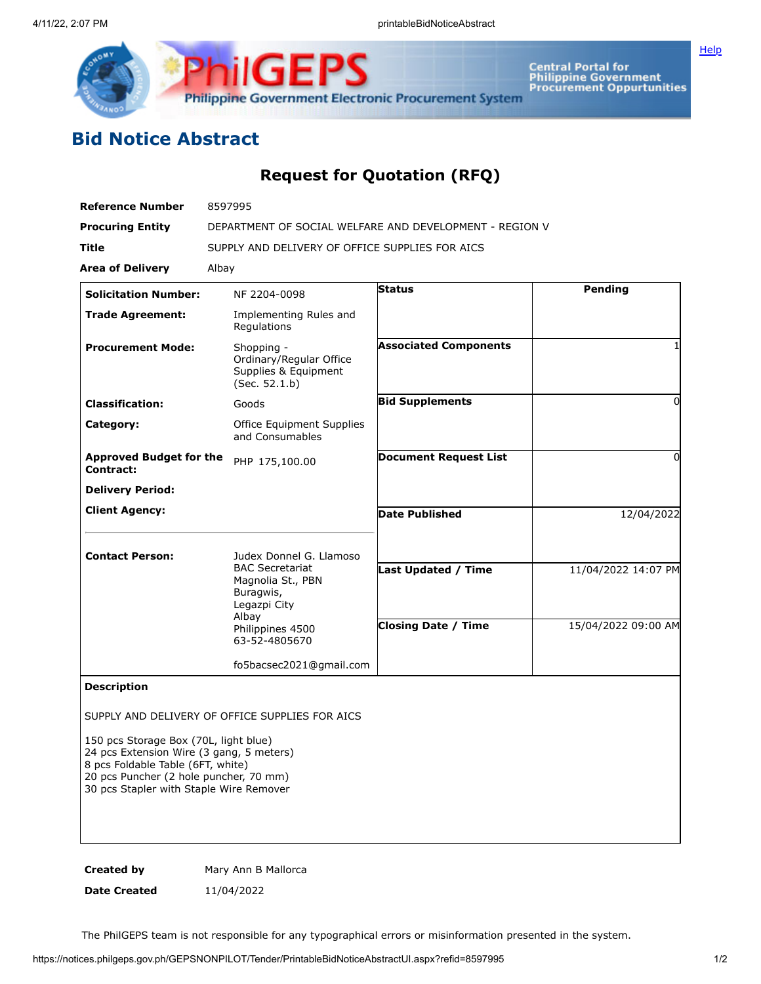

**iliGEPS Philippine Government Electronic Procurement System** 

Central Portal for<br>Philippine Government<br>Procurement Oppurtunities

## **Bid Notice Abstract**

## **Request for Quotation (RFQ)**

| <b>Reference Number</b>                                                                                                                                                                                     | 8597995                                                                        |                              |                     |
|-------------------------------------------------------------------------------------------------------------------------------------------------------------------------------------------------------------|--------------------------------------------------------------------------------|------------------------------|---------------------|
| <b>Procuring Entity</b>                                                                                                                                                                                     | DEPARTMENT OF SOCIAL WELFARE AND DEVELOPMENT - REGION V                        |                              |                     |
| Title                                                                                                                                                                                                       | SUPPLY AND DELIVERY OF OFFICE SUPPLIES FOR AICS                                |                              |                     |
| <b>Area of Delivery</b>                                                                                                                                                                                     | Albay                                                                          |                              |                     |
| <b>Solicitation Number:</b>                                                                                                                                                                                 | NF 2204-0098                                                                   | <b>Status</b>                | Pending             |
| <b>Trade Agreement:</b>                                                                                                                                                                                     | Implementing Rules and<br>Regulations                                          |                              |                     |
| <b>Procurement Mode:</b>                                                                                                                                                                                    | Shopping -<br>Ordinary/Regular Office<br>Supplies & Equipment<br>(Sec. 52.1.b) | <b>Associated Components</b> |                     |
| <b>Classification:</b>                                                                                                                                                                                      | Goods                                                                          | <b>Bid Supplements</b>       | 0                   |
| Category:                                                                                                                                                                                                   | Office Equipment Supplies<br>and Consumables                                   |                              |                     |
| <b>Approved Budget for the</b><br>Contract:                                                                                                                                                                 | PHP 175,100.00                                                                 | <b>Document Request List</b> | $\Omega$            |
| <b>Delivery Period:</b>                                                                                                                                                                                     |                                                                                |                              |                     |
| <b>Client Agency:</b>                                                                                                                                                                                       |                                                                                | <b>Date Published</b>        | 12/04/2022          |
| <b>Contact Person:</b>                                                                                                                                                                                      | Judex Donnel G. Llamoso                                                        |                              |                     |
|                                                                                                                                                                                                             | <b>BAC Secretariat</b><br>Magnolia St., PBN<br>Buragwis,<br>Legazpi City       | <b>Last Updated / Time</b>   | 11/04/2022 14:07 PM |
|                                                                                                                                                                                                             | Albay                                                                          | <b>Closing Date / Time</b>   | 15/04/2022 09:00 AM |
|                                                                                                                                                                                                             | Philippines 4500<br>63-52-4805670                                              |                              |                     |
|                                                                                                                                                                                                             | fo5bacsec2021@gmail.com                                                        |                              |                     |
| <b>Description</b>                                                                                                                                                                                          |                                                                                |                              |                     |
|                                                                                                                                                                                                             | SUPPLY AND DELIVERY OF OFFICE SUPPLIES FOR AICS                                |                              |                     |
| 150 pcs Storage Box (70L, light blue)<br>24 pcs Extension Wire (3 gang, 5 meters)<br>8 pcs Foldable Table (6FT, white)<br>20 pcs Puncher (2 hole puncher, 70 mm)<br>30 pcs Stapler with Staple Wire Remover |                                                                                |                              |                     |
|                                                                                                                                                                                                             |                                                                                |                              |                     |

**Created by** Mary Ann B Mallorca **Date Created** 11/04/2022

The PhilGEPS team is not responsible for any typographical errors or misinformation presented in the system.